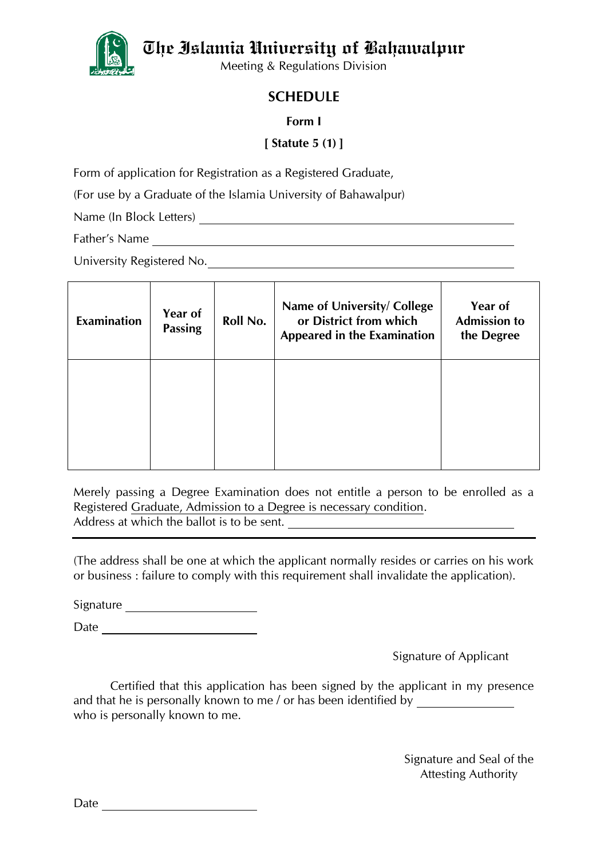The Islamia University of Bahawalpur



Meeting & Regulations Division

## **SCHEDULE**

## **Form I**

## **[ Statute 5 (1) ]**

Form of application for Registration as a Registered Graduate,

(For use by a Graduate of the Islamia University of Bahawalpur)

Name (In Block Letters)

Father's Name

University Registered No.

| <b>Examination</b> | Year of<br><b>Passing</b> | Roll No. | Name of University/ College<br>or District from which<br><b>Appeared in the Examination</b> | Year of<br><b>Admission to</b><br>the Degree |
|--------------------|---------------------------|----------|---------------------------------------------------------------------------------------------|----------------------------------------------|
|                    |                           |          |                                                                                             |                                              |

Merely passing a Degree Examination does not entitle a person to be enrolled as a Registered Graduate, Admission to a Degree is necessary condition. Address at which the ballot is to be sent.

(The address shall be one at which the applicant normally resides or carries on his work or business : failure to comply with this requirement shall invalidate the application).

Signature

Date

Signature of Applicant

Certified that this application has been signed by the applicant in my presence and that he is personally known to me / or has been identified by \_\_\_\_\_\_\_\_\_\_\_\_\_\_ who is personally known to me.

> Signature and Seal of the Attesting Authority

Date **Date**